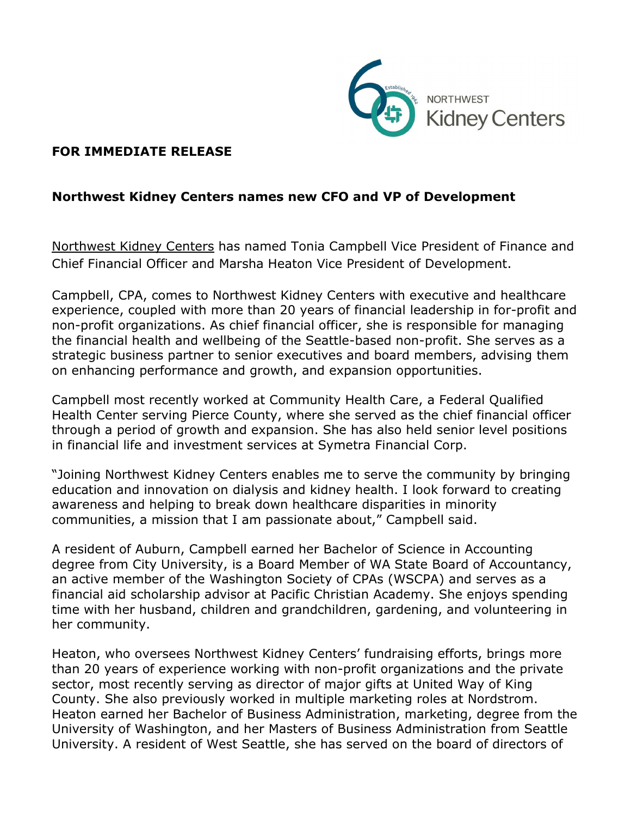

## **FOR IMMEDIATE RELEASE**

## **Northwest Kidney Centers names new CFO and VP of Development**

[Northwest Kidney Centers](https://www.nwkidney.org/) has named Tonia Campbell Vice President of Finance and Chief Financial Officer and Marsha Heaton Vice President of Development.

Campbell, CPA, comes to Northwest Kidney Centers with executive and healthcare experience, coupled with more than 20 years of financial leadership in for-profit and non-profit organizations. As chief financial officer, she is responsible for managing the financial health and wellbeing of the Seattle-based non-profit. She serves as a strategic business partner to senior executives and board members, advising them on enhancing performance and growth, and expansion opportunities.

Campbell most recently worked at Community Health Care, a Federal Qualified Health Center serving Pierce County, where she served as the chief financial officer through a period of growth and expansion. She has also held senior level positions in financial life and investment services at Symetra Financial Corp.

"Joining Northwest Kidney Centers enables me to serve the community by bringing education and innovation on dialysis and kidney health. I look forward to creating awareness and helping to break down healthcare disparities in minority communities, a mission that I am passionate about," Campbell said.

A resident of Auburn, Campbell earned her Bachelor of Science in Accounting degree from City University, is a Board Member of WA State Board of Accountancy, an active member of the Washington Society of CPAs (WSCPA) and serves as a financial aid scholarship advisor at Pacific Christian Academy. She enjoys spending time with her husband, children and grandchildren, gardening, and volunteering in her community.

Heaton, who oversees Northwest Kidney Centers' fundraising efforts, brings more than 20 years of experience working with non-profit organizations and the private sector, most recently serving as director of major gifts at United Way of King County. She also previously worked in multiple marketing roles at Nordstrom. Heaton earned her Bachelor of Business Administration, marketing, degree from the University of Washington, and her Masters of Business Administration from Seattle University. A resident of West Seattle, she has served on the board of directors of